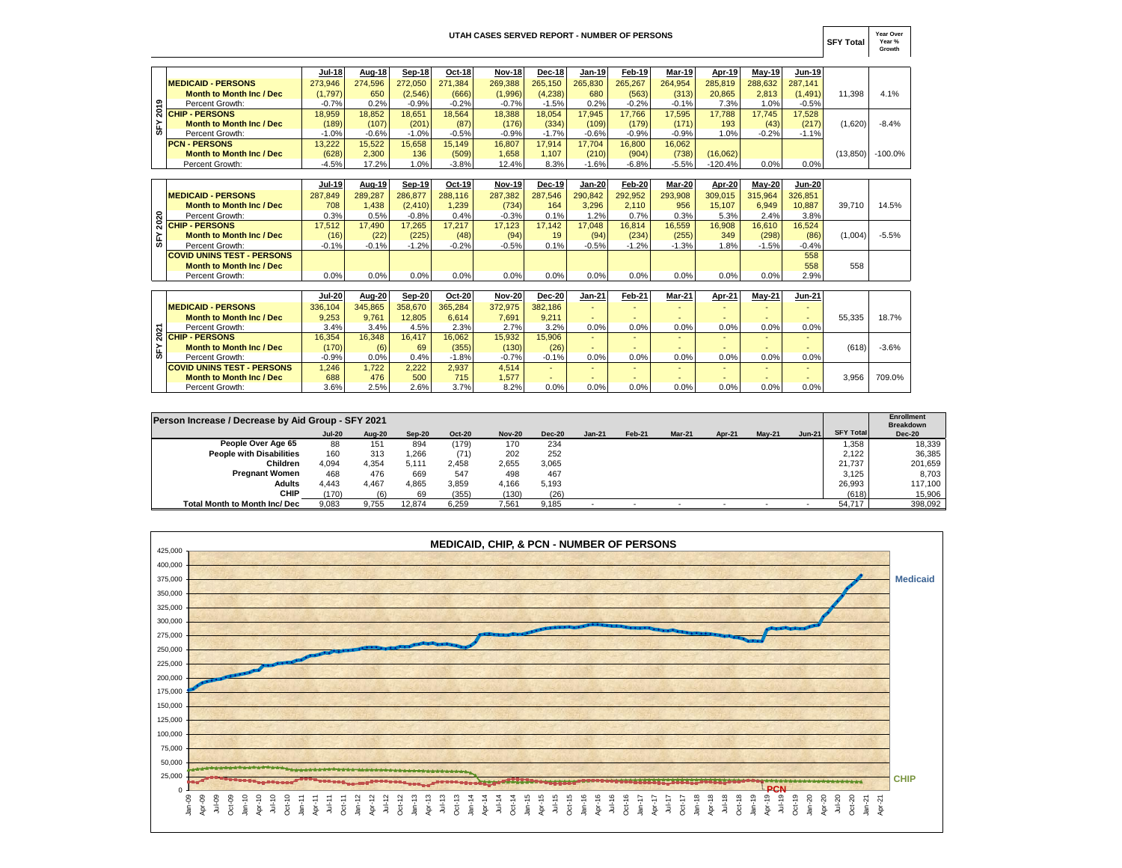## **UTAH CASES SERVED REPORT - NUMBER OF PERSONS**

**SFY Total Year Over Year % Growth**

|   |                                 | <b>Jul-18</b> | <b>Aug-18</b> | Sep-18  | Oct-18  | <b>Nov-18</b> | <b>Dec-18</b> | Jan-19  | Feb-19  | <b>Mar-19</b> | Apr-19    | $May-19$ | <b>Jun-19</b> |           |           |
|---|---------------------------------|---------------|---------------|---------|---------|---------------|---------------|---------|---------|---------------|-----------|----------|---------------|-----------|-----------|
|   | <b>MEDICAID - PERSONS</b>       | 273.946       | 274.596       | 272.050 | 271.384 | 269.388       | 265.150       | 265.830 | 265.267 | 264.954       | 285.819   | 288,632  | 287.141       |           |           |
|   | Month to Month Inc / Dec        | (1,797)       | 650           | (2,546) | (666)   | (1,996)       | (4,238)       | 680     | (563)   | (313)         | 20.865    | 2.813    | (1, 491)      | 11.398    | 4.1%      |
| ຶ | Percent Growth:                 | $-0.7%$       | 0.2%          | $-0.9%$ | $-0.2%$ | $-0.7%$       | $-1.5%$       | 0.2%    | $-0.2%$ | $-0.1%$       | 7.3%      | 1.0%     | $-0.5%$       |           |           |
|   | R CHIP - PERSONS                | 18.959        | 18.852        | 18.651  | 18.564  | 18,388        | 18.054        | 17.945  | 17.766  | 17.595        | 17.788    | 17.745   | 17,528        |           |           |
|   | <b>Month to Month Inc / Dec</b> | (189)         | (107)         | (201)   | (87)    | (176)         | (334)         | (109)   | (179)   | (171)         | 193       | (43)     | (217)         | (1,620)   | $-8.4%$   |
| ఙ | Percent Growth:                 | $-1.0%$       | $-0.6%$       | $-1.0%$ | $-0.5%$ | $-0.9%$       | $-1.7%$       | $-0.6%$ | $-0.9%$ | $-0.9%$       | $1.0\%$   | $-0.2%$  | $-1.1%$       |           |           |
|   | <b>PCN - PERSONS</b>            | 13.222        | 15.522        | 15.658  | 15.149  | 16.807        | 17.914        | 17.704  | 16,800  | 16.062        |           |          |               |           |           |
|   | <b>Month to Month Inc / Dec</b> | (628)         | 2,300         | 136     | (509)   | 1.658         | 1.107         | (210)   | (904)   | (738)         | (16,062)  |          |               | (13, 850) | $-100.0%$ |
|   | Percent Growth:                 | $-4.5%$       | 17.2%         | $1.0\%$ | $-3.8%$ | 12.4%         | 8.3%          | $-1.6%$ | $-6.8%$ | $-5.5%$       | $-120.4%$ | $0.0\%$  | 0.0%          |           |           |

|     |                                   | Jul-19  | Aug-19  | Sep-19   | Oct-19   | <b>Nov-19</b> | <b>Dec-19</b> | Jan-20  | Feb-20  | Mar-20  | Apr-20  | Mav-20  | <b>Jun-20</b> |         |         |
|-----|-----------------------------------|---------|---------|----------|----------|---------------|---------------|---------|---------|---------|---------|---------|---------------|---------|---------|
|     | <b>MEDICAID - PERSONS</b>         | 287,849 | 289.287 | 286.877  | 288,116  | 287.382       | 287.546       | 290,842 | 292.952 | 293.908 | 309.015 | 315.964 | 326.851       |         |         |
|     | <b>Month to Month Inc / Dec</b>   | 708     | .438    | (2, 410) | 1.239    | (734)         | 164           | 3.296   | 2.110   | 956     | 15.107  | 6.949   | 10.887        | 39.710  | 14.5%   |
| ន   | Percent Growth:                   | 0.3%    | 0.5%    | $-0.8%$  | 0.4%     | $-0.3%$       | 0.1%          | 1.2%    | 0.7%    | 0.3%    | 5.3%    | 2.4%    | 3.8%          |         |         |
|     | <b>R</b> CHIP - PERSONS           | 7.512   | 17.490  | 17.265   | 17.217   | 17.123        | 7.142         | 17.048  | 16.814  | 16.559  | 16.908  | 16.610  | 16.524        |         |         |
| SFY | <b>Month to Month Inc / Dec</b>   | (16)    | (22)    | (225)    | (48)     | (94)          | 19            | (94)    | (234)   | (255)   | 349     | (298)   | (86)          | (1.004) | $-5.5%$ |
|     | Percent Growth:                   | $-0.1%$ | $-0.1%$ | $-1.2%$  | $-0.2\%$ | $-0.5%$       | 0.1%          | $-0.5%$ | $-1.2%$ | $-1.3%$ | $.8\%$  | $-1.5%$ | $-0.4%$       |         |         |
|     | <b>COVID UNINS TEST - PERSONS</b> |         |         |          |          |               |               |         |         |         |         |         | 558           |         |         |
|     | <b>Month to Month Inc / Dec</b>   |         |         |          |          |               |               |         |         |         |         |         | 558           | 558     |         |
|     | Percent Growth:                   | $0.0\%$ | $0.0\%$ | 0.0%     | 0.0%     | 0.0%          | 0.0%          | 0.0%    | 0.0%    | 0.0%    | $0.0\%$ | 0.0%    | 2.9%          |         |         |

| ຶ          | Percent Growth:                                    | $-0.7%$       | 0.2%    | $-0.9%$  | $-0.2%$       | $-0.7%$       | $-1.5%$       | 0.2%          | $-0.2%$       | $-0.1%$                  | 7.3%      | 1.0%     | $-0.5%$       |          |                  |
|------------|----------------------------------------------------|---------------|---------|----------|---------------|---------------|---------------|---------------|---------------|--------------------------|-----------|----------|---------------|----------|------------------|
| 201<br>SF٢ | <b>CHIP - PERSONS</b>                              | 18.959        | 18,852  | 18,651   | 18,564        | 18,388        | 18.054        | 17.945        | 17.766        | 17.595                   | 17.788    | 17.745   | 17,528        |          |                  |
|            | <b>Month to Month Inc / Dec</b>                    | (189)         | (107)   | (201)    | (87)          | (176)         | (334)         | (109)         | (179)         | (171)                    | 193       | (43)     | (217)         | (1,620)  | $-8.4%$          |
|            | Percent Growth:                                    | $-1.0%$       | $-0.6%$ | $-1.0%$  | $-0.5%$       | $-0.9%$       | $-1.7%$       | $-0.6%$       | $-0.9%$       | $-0.9%$                  | 1.0%      | $-0.2%$  | $-1.1%$       |          |                  |
|            | <b>PCN - PERSONS</b>                               | 13,222        | 15,522  | 15,658   | 15.149        | 16.807        | 17.914        | 17.704        | 16,800        | 16,062                   |           |          |               |          |                  |
|            | <b>Month to Month Inc / Dec</b>                    | (628)         | 2,300   | 136      | (509)         | 1,658         | 1.107         | (210)         | (904)         | (738)                    | (16,062)  |          |               | (13.850) | $-100.0%$        |
|            | Percent Growth:                                    | $-4.5%$       | 17.2%   | 1.0%     | $-3.8%$       | 12.4%         | 8.3%          | $-1.6%$       | $-6.8%$       | $-5.5%$                  | $-120.4%$ | 0.0%     | 0.0%          |          |                  |
|            |                                                    |               |         |          |               |               |               |               |               |                          |           |          |               |          |                  |
|            |                                                    | <b>Jul-19</b> | Aug-19  | Sep-19   | Oct-19        | <b>Nov-19</b> | Dec-19        | Jan-20        | <b>Feb-20</b> | Mar-20                   | Apr-20    | $May-20$ | <b>Jun-20</b> |          |                  |
|            | <b>MEDICAID - PERSONS</b>                          | 287.849       | 289,287 | 286,877  | 288.116       | 287,382       | 287,546       | 290.842       | 292,952       | 293,908                  | 309.015   | 315.964  | 326.851       |          |                  |
|            | <b>Month to Month Inc / Dec</b>                    | 708           | 1.438   | (2, 410) | 1.239         | (734)         | 164           | 3.296         | 2.110         | 956                      | 15.107    | 6.949    | 10.887        | 39.710   | 14.5%            |
| ន          | Percent Growth:                                    | 0.3%          | 0.5%    | $-0.8%$  | 0.4%          | $-0.3%$       | 0.1%          | 1.2%          | 0.7%          | 0.3%                     | 5.3%      | 2.4%     | 3.8%          |          |                  |
| ສ          | <b>CHIP - PERSONS</b>                              | 17,512        | 17,490  | 17,265   | 17,217        | 17,123        | 17,142        | 17.048        | 16.814        | 16,559                   | 16,908    | 16,610   | 16,524        |          |                  |
| Š۲         | <b>Month to Month Inc / Dec</b>                    | (16)          | (22)    | (225)    | (48)          | (94)          | 19            | (94)          | (234)         | (255)                    | 349       | (298)    | (86)          | (1,004)  | $-5.5%$          |
|            | Percent Growth:                                    | $-0.1%$       | $-0.1%$ | $-1.2%$  | $-0.2%$       | $-0.5%$       | 0.1%          | $-0.5%$       | $-1.2%$       | $-1.3%$                  | 1.8%      | $-1.5%$  | $-0.4%$       |          |                  |
|            | <b>COVID UNINS TEST - PERSONS</b>                  |               |         |          |               |               |               |               |               |                          |           |          | 558           |          |                  |
|            | <b>Month to Month Inc / Dec</b>                    |               |         |          |               |               |               |               |               |                          |           |          | 558           | 558      |                  |
|            | Percent Growth:                                    | 0.0%          | 0.0%    | 0.0%     | 0.0%          | 0.0%          | 0.0%          | 0.0%          | 0.0%          | 0.0%                     | 0.0%      | 0.0%     | 2.9%          |          |                  |
|            |                                                    |               |         |          |               |               |               |               |               |                          |           |          |               |          |                  |
|            |                                                    | <b>Jul-20</b> | Aug-20  | Sep-20   | <b>Oct-20</b> | <b>Nov-20</b> | <b>Dec-20</b> | <b>Jan-21</b> | Feb-21        | Mar-21                   | Apr-21    | $May-21$ | <b>Jun-21</b> |          |                  |
|            | <b>MEDICAID - PERSONS</b>                          | 336,104       | 345,865 | 358,670  | 365,284       | 372,975       | 382,186       |               |               | $\overline{\phantom{a}}$ |           |          |               |          |                  |
|            | <b>Month to Month Inc / Dec</b>                    | 9,253         | 9.761   | 12,805   | 6,614         | 7,691         | 9.211         |               |               |                          |           |          |               | 55.335   | 18.7%            |
| 2021       | Percent Growth:                                    | 3.4%          | 3.4%    | 4.5%     | 2.3%          | 2.7%          | 3.2%          | 0.0%          | 0.0%          | 0.0%                     | 0.0%      | 0.0%     | 0.0%          |          |                  |
|            | <b>CHIP - PERSONS</b>                              | 16,354        | 16,348  | 16,417   | 16,062        | 15,932        | 15,906        |               |               | ٠                        |           |          |               |          |                  |
| Š۴         | <b>Month to Month Inc / Dec</b>                    | (170)         | (6)     | 69       | (355)         | (130)         | (26)          |               |               |                          |           |          |               | (618)    | $-3.6%$          |
|            | Percent Growth:                                    | $-0.9%$       | 0.0%    | 0.4%     | $-1.8%$       | $-0.7%$       | $-0.1%$       | 0.0%          | 0.0%          | 0.0%                     | 0.0%      | 0.0%     | 0.0%          |          |                  |
|            | <b>COVID UNINS TEST - PERSONS</b>                  | 1.246         | 1.722   | 2.222    | 2,937         | 4.514         |               |               |               | $\overline{\phantom{a}}$ |           |          |               |          |                  |
|            | <b>Month to Month Inc / Dec</b>                    | 688           | 476     | 500      | 715           | 1,577         |               |               |               | ٠                        |           |          |               | 3.956    | 709.0%           |
|            | Percent Growth:                                    | 3.6%          | 2.5%    | 2.6%     | 3.7%          | 8.2%          | 0.0%          | 0.0%          | 0.0%          | 0.0%                     | 0.0%      | 0.0%     | 0.0%          |          |                  |
|            |                                                    |               |         |          |               |               |               |               |               |                          |           |          |               |          |                  |
|            |                                                    |               |         |          |               |               |               |               |               |                          |           |          |               |          |                  |
|            | Person Increase / Decrease by Aid Group - SFY 2021 |               |         |          |               |               |               |               |               |                          |           |          |               |          | Enroll<br>Drook- |

| Person Increase / Decrease by Aid Group - SFY 2021 |               |               |        |               |               |               |                          |        |        |               |          |                          |                  | Enrollment<br><b>Breakdown</b> |
|----------------------------------------------------|---------------|---------------|--------|---------------|---------------|---------------|--------------------------|--------|--------|---------------|----------|--------------------------|------------------|--------------------------------|
|                                                    | <b>Jul-20</b> | <b>Aug-20</b> | Sep-20 | <b>Oct-20</b> | <b>Nov-20</b> | <b>Dec-20</b> | $Jan-21$                 | Feb-21 | Mar-21 | <b>Apr-21</b> | $Mav-21$ | <b>Jun-21</b>            | <b>SFY Total</b> | <b>Dec-20</b>                  |
| People Over Age 65                                 | 88            | 151           | 894    | (179)         | 170           | 234           |                          |        |        |               |          |                          | 1.358            | 18,339                         |
| <b>People with Disabilities</b>                    | 160           | 313           | .266   | (71)          | 202           | 252           |                          |        |        |               |          |                          | 2.122            | 36,385                         |
| Children                                           | 4.094         | 4.354         | 5.111  | 2.458         | 2.655         | 3,065         |                          |        |        |               |          |                          | 21.737           | 201,659                        |
| <b>Pregnant Women</b>                              | 468           | 476           | 669    | 547           | 498           | 467           |                          |        |        |               |          |                          | 3.125            | 8,703                          |
| <b>Adults</b>                                      | 4.443         | 4.467         | 4.865  | 3.859         | 4.166         | 5,193         |                          |        |        |               |          |                          | 26,993           | 117,100                        |
| <b>CHIP</b>                                        | (170)         | (6)           | 69     | (355)         | (130)         | (26)          |                          |        |        |               |          |                          | (618)            | 15,906                         |
| <b>Total Month to Month Inc/ Dec</b>               | 9.083         | 9.755         | 12.874 | 6.259         | 7.561         | 9.185         | $\overline{\phantom{0}}$ |        |        |               |          | $\overline{\phantom{0}}$ | 54,717           | 398,092                        |